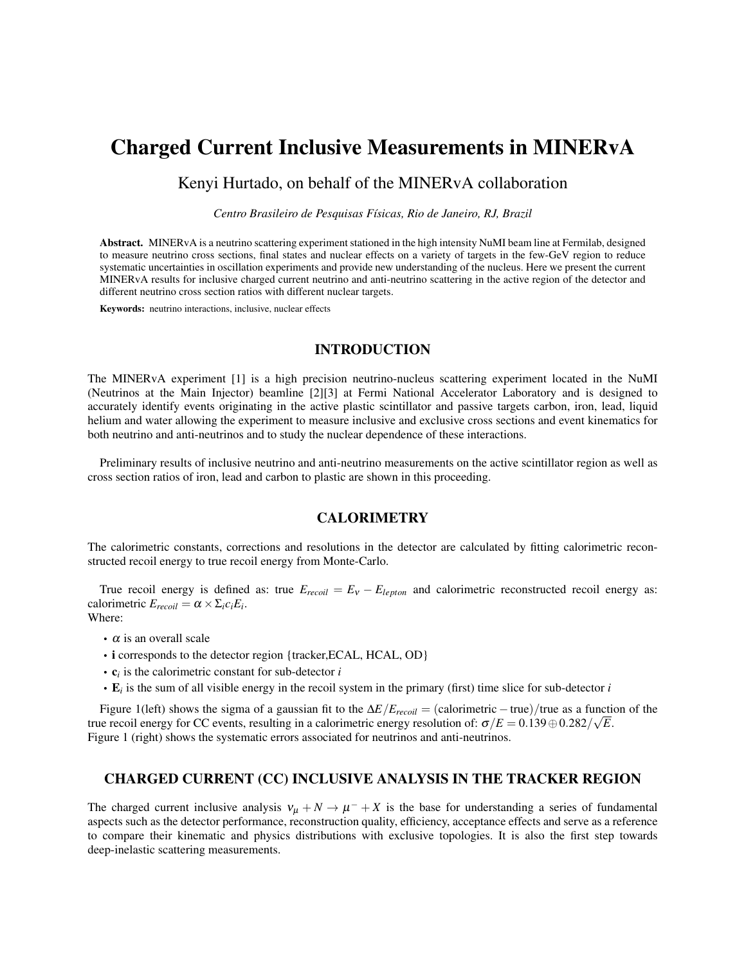# Charged Current Inclusive Measurements in MINERvA

# Kenyi Hurtado, on behalf of the MINERvA collaboration

*Centro Brasileiro de Pesquisas Físicas, Rio de Janeiro, RJ, Brazil*

Abstract. MINERvA is a neutrino scattering experiment stationed in the high intensity NuMI beam line at Fermilab, designed to measure neutrino cross sections, final states and nuclear effects on a variety of targets in the few-GeV region to reduce systematic uncertainties in oscillation experiments and provide new understanding of the nucleus. Here we present the current MINERvA results for inclusive charged current neutrino and anti-neutrino scattering in the active region of the detector and different neutrino cross section ratios with different nuclear targets.

Keywords: neutrino interactions, inclusive, nuclear effects

# INTRODUCTION

The MINERvA experiment [1] is a high precision neutrino-nucleus scattering experiment located in the NuMI (Neutrinos at the Main Injector) beamline [2][3] at Fermi National Accelerator Laboratory and is designed to accurately identify events originating in the active plastic scintillator and passive targets carbon, iron, lead, liquid helium and water allowing the experiment to measure inclusive and exclusive cross sections and event kinematics for both neutrino and anti-neutrinos and to study the nuclear dependence of these interactions.

Preliminary results of inclusive neutrino and anti-neutrino measurements on the active scintillator region as well as cross section ratios of iron, lead and carbon to plastic are shown in this proceeding.

## **CALORIMETRY**

The calorimetric constants, corrections and resolutions in the detector are calculated by fitting calorimetric reconstructed recoil energy to true recoil energy from Monte-Carlo.

True recoil energy is defined as: true  $E_{recoil} = E_V - E_{lepton}$  and calorimetric reconstructed recoil energy as: calorimetric  $E_{recoil} = \alpha \times \Sigma_i c_i E_i$ . Where:

- $\cdot$   $\alpha$  is an overall scale
- i corresponds to the detector region {tracker,ECAL, HCAL, OD}
- c*<sup>i</sup>* is the calorimetric constant for sub-detector *i*
- E*<sup>i</sup>* is the sum of all visible energy in the recoil system in the primary (first) time slice for sub-detector *i*

Figure 1(left) shows the sigma of a gaussian fit to the  $\Delta E/E_{recoil} = (calorometric - true)/true$  as a function of the true recoil energy for CC events, resulting in a calorimetric energy resolution of:  $\sigma/E = 0.139 \oplus 0.282/\sqrt{E}$ . Figure 1 (right) shows the systematic errors associated for neutrinos and anti-neutrinos.

#### CHARGED CURRENT (CC) INCLUSIVE ANALYSIS IN THE TRACKER REGION

The charged current inclusive analysis  $v_{\mu} + N \rightarrow \mu^- + X$  is the base for understanding a series of fundamental aspects such as the detector performance, reconstruction quality, efficiency, acceptance effects and serve as a reference to compare their kinematic and physics distributions with exclusive topologies. It is also the first step towards deep-inelastic scattering measurements.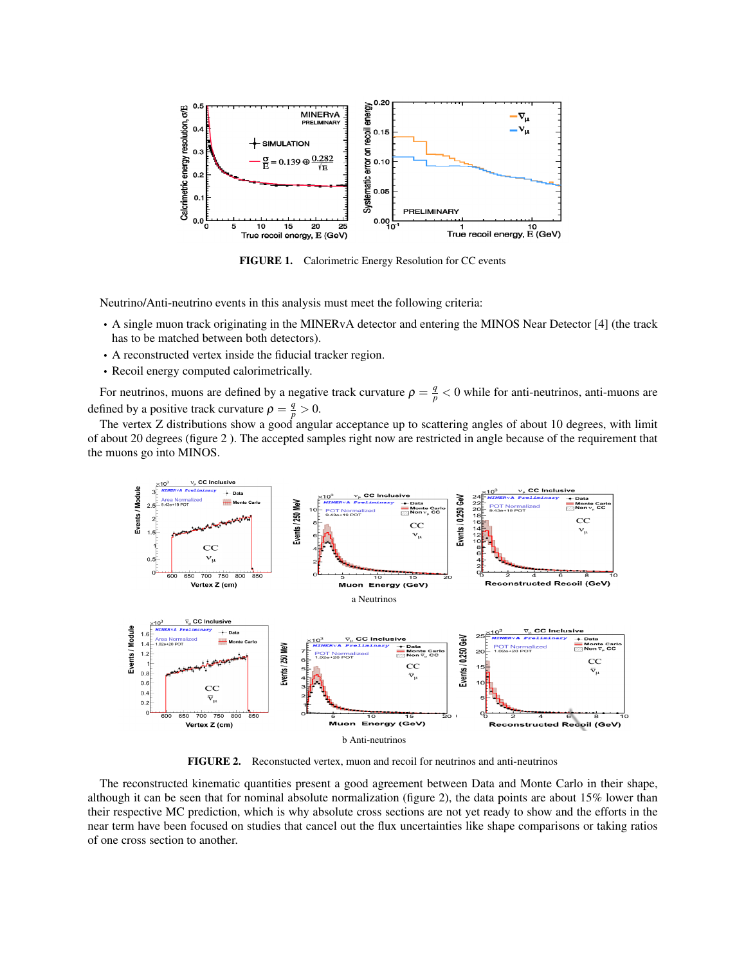

FIGURE 1. Calorimetric Energy Resolution for CC events

Neutrino/Anti-neutrino events in this analysis must meet the following criteria:

- A single muon track originating in the MINERvA detector and entering the MINOS Near Detector [4] (the track has to be matched between both detectors).
- A reconstructed vertex inside the fiducial tracker region.
- Recoil energy computed calorimetrically.

For neutrinos, muons are defined by a negative track curvature  $\rho = \frac{q}{p} < 0$  while for anti-neutrinos, anti-muons are defined by a positive track curvature  $\rho = \frac{q}{p} > 0$ .

The vertex Z distributions show a good angular acceptance up to scattering angles of about 10 degrees, with limit of about 20 degrees (figure 2 ). The accepted samples right now are restricted in angle because of the requirement that the muons go into MINOS.



FIGURE 2. Reconstucted vertex, muon and recoil for neutrinos and anti-neutrinos

The reconstructed kinematic quantities present a good agreement between Data and Monte Carlo in their shape, although it can be seen that for nominal absolute normalization (figure 2), the data points are about 15% lower than their respective MC prediction, which is why absolute cross sections are not yet ready to show and the efforts in the near term have been focused on studies that cancel out the flux uncertainties like shape comparisons or taking ratios of one cross section to another.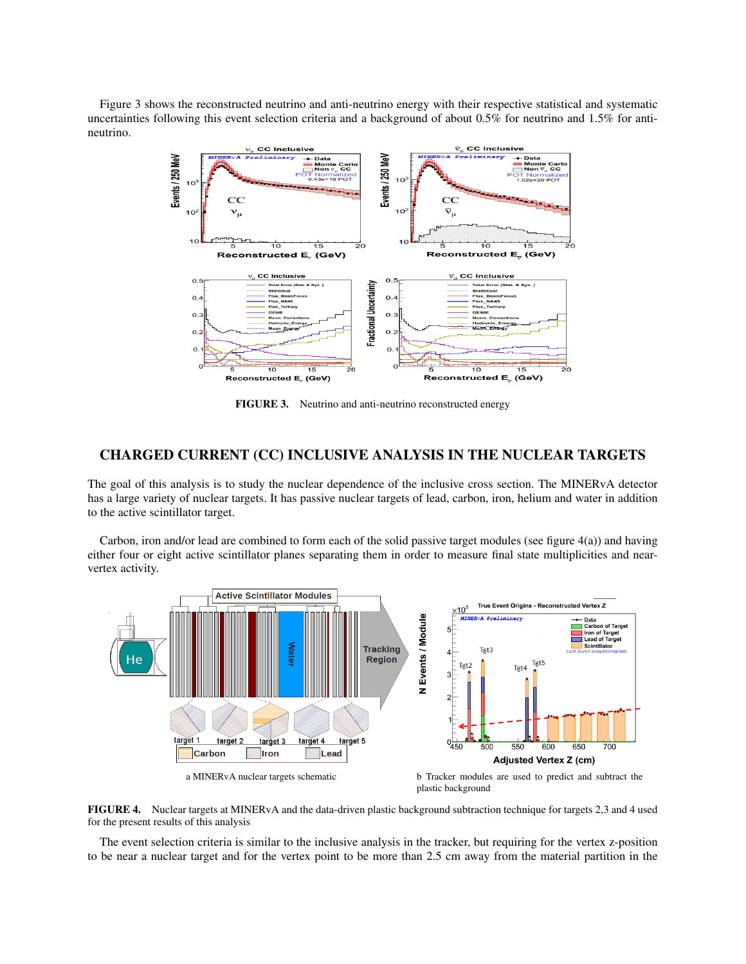Figure 3 shows the reconstructed neutrino and anti-neutrino energy with their respective statistical and systematic uncertainties following this event selection criteria and a background of about 0.5% for neutrino and 1.5% for antineutrino.



FIGURE 3. Neutrino and anti-neutrino reconstructed energy

# CHARGED CURRENT (CC) INCLUSIVE ANALYSIS IN THE NUCLEAR TARGETS

The goal of this analysis is to study the nuclear dependence of the inclusive cross section. The MINERvA detector has a large variety of nuclear targets. It has passive nuclear targets of lead, carbon, iron, helium and water in addition to the active scintillator target.

Carbon, iron and/or lead are combined to form each of the solid passive target modules (see figure 4(a)) and having either four or eight active scintillator planes separating them in order to measure final state multiplicities and nearvertex activity.



FIGURE 4. Nuclear targets at MINERvA and the data-driven plastic background subtraction technique for targets 2,3 and 4 used for the present results of this analysis

The event selection criteria is similar to the inclusive analysis in the tracker, but requiring for the vertex z-position to be near a nuclear target and for the vertex point to be more than 2.5 cm away from the material partition in the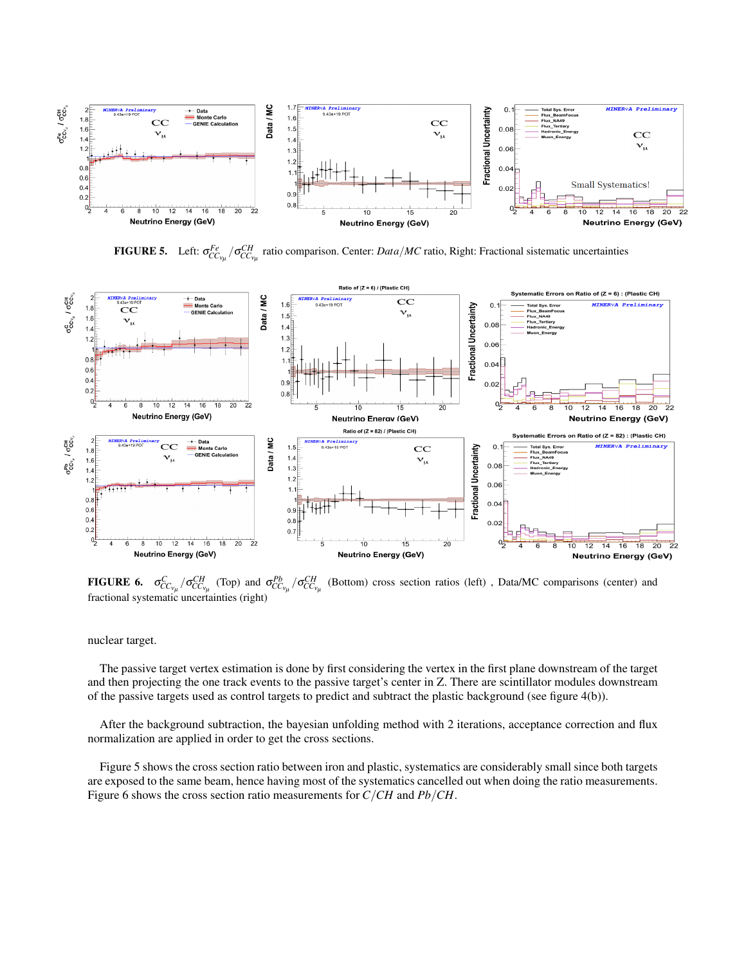

**FIGURE 5.** Left:  $\sigma_{CC_{v_\mu}}^{Fe} / \sigma_{CC_{v_\mu}}^{CH}$  ratio comparison. Center: *Data/MC* ratio, Right: Fractional sistematic uncertainties



**FIGURE 6.**  $\sigma_{CC_{v_{\mu}}}^{C} / \sigma_{CC_{v_{\mu}}}^{CH}$  (Top) and  $\sigma_{CC_{v_{\mu}}}^{Pb} / \sigma_{CC_{v_{\mu}}}^{CH}$ (Bottom) cross section ratios (left) , Data/MC comparisons (center) and fractional systematic uncertainties (right)

nuclear target.

The passive target vertex estimation is done by first considering the vertex in the first plane downstream of the target and then projecting the one track events to the passive target's center in Z. There are scintillator modules downstream of the passive targets used as control targets to predict and subtract the plastic background (see figure 4(b)).

After the background subtraction, the bayesian unfolding method with 2 iterations, acceptance correction and flux normalization are applied in order to get the cross sections.

Figure 5 shows the cross section ratio between iron and plastic, systematics are considerably small since both targets are exposed to the same beam, hence having most of the systematics cancelled out when doing the ratio measurements. Figure 6 shows the cross section ratio measurements for *C*/*CH* and *Pb*/*CH*.